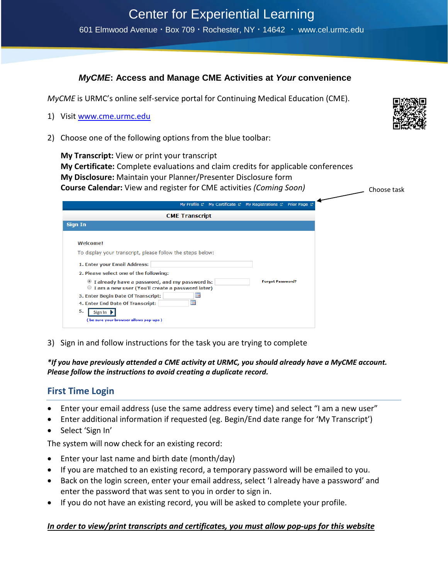# *MyCME***: Access and Manage CME Activities at** *Your* **convenience**

*MyCME* is URMC's online self-service portal for Continuing Medical Education (CME).

- 1) Visit [www.cme.urmc.edu](http://www.cme.urmc.edu/)
- 2) Choose one of the following options from the blue toolbar:

 **My Transcript:** View or print your transcript  **My Certificate:** Complete evaluations and claim credits for applicable conferences  **My Disclosure:** Maintain your Planner/Presenter Disclosure form  **Course Calendar:** View and register for CME activities *(Coming Soon)*

| My Profile & My Certificate & My Registrations & Prior Page &                                                                                                                                                                                                                                                                                                                                                                                         |
|-------------------------------------------------------------------------------------------------------------------------------------------------------------------------------------------------------------------------------------------------------------------------------------------------------------------------------------------------------------------------------------------------------------------------------------------------------|
| <b>CME Transcript</b>                                                                                                                                                                                                                                                                                                                                                                                                                                 |
| <b>Sign In</b>                                                                                                                                                                                                                                                                                                                                                                                                                                        |
| Welcome!<br>To display your transcript, please follow the steps below:<br>1. Enter your Email Address:<br>2. Please select one of the following:<br><b>Forgot Password?</b><br>I already have a password, and my password is:<br>I am a new user (You'll create a password later)<br>œ<br>3. Enter Begin Date Of Transcript:<br>m<br>4. Enter End Date Of Transcript:<br>5.<br>Sign In $\blacktriangleright$<br>(be sure your browser allows pop-ups) |

3) Sign in and follow instructions for the task you are trying to complete

*\*If you have previously attended a CME activity at URMC, you should already have a MyCME account. Please follow the instructions to avoid creating a duplicate record.*

# **First Time Login**

- Enter your email address (use the same address every time) and select "I am a new user"
- Enter additional information if requested (eg. Begin/End date range for 'My Transcript')
- Select 'Sign In'

The system will now check for an existing record:

- Enter your last name and birth date (month/day)
- If you are matched to an existing record, a temporary password will be emailed to you.
- Back on the login screen, enter your email address, select 'I already have a password' and enter the password that was sent to you in order to sign in.
- If you do not have an existing record, you will be asked to complete your profile.

## *In order to view/print transcripts and certificates, you must allow pop-ups for this website*



Choose task